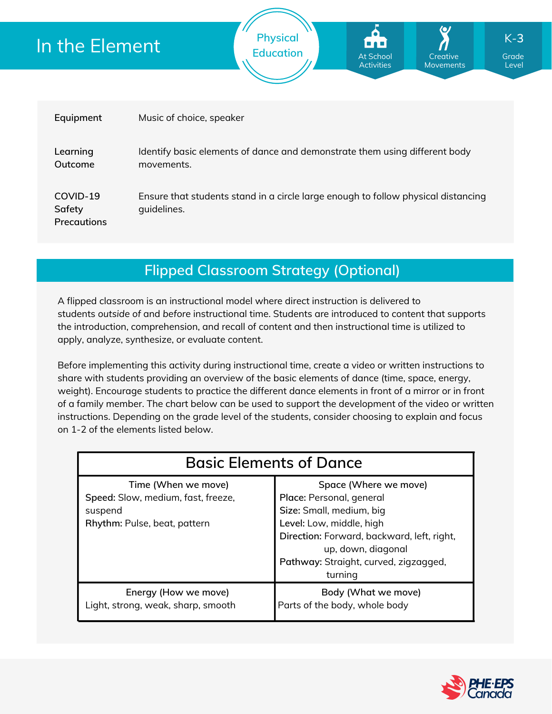# In the Element

| Equipment                                | Music of choice, speaker                                                                         |
|------------------------------------------|--------------------------------------------------------------------------------------------------|
| Learning<br>Outcome                      | Identify basic elements of dance and demonstrate them using different body<br>movements.         |
| COVID-19<br>Safety<br><b>Precautions</b> | Ensure that students stand in a circle large enough to follow physical distancing<br>quidelines. |

**Physical**

**Education Grade** At School **Grade** Grade

At School **Activities** 

**Creative** Movements

Level

K-**3**

**Flipped Classroom Strategy (Optional)**

A flipped classroom is an instructional model where direct instruction is delivered to students *outside of* and *before* instructional time. Students are introduced to content that supports the introduction, comprehension, and recall of content and then instructional time is utilized to apply, analyze, synthesize, or evaluate content.

Before implementing this activity during instructional time, create a video or written instructions to share with students providing an overview of the basic elements of dance (time, space, energy, weight). Encourage students to practice the different dance elements in front of a mirror or in front of a family member. The chart below can be used to support the development of the video or written instructions. Depending on the grade level of the students, consider choosing to explain and focus on 1-2 of the elements listed below.

| <b>Basic Elements of Dance</b>                                                                       |                                                                                                                                                                                                                                   |  |  |
|------------------------------------------------------------------------------------------------------|-----------------------------------------------------------------------------------------------------------------------------------------------------------------------------------------------------------------------------------|--|--|
| Time (When we move)<br>Speed: Slow, medium, fast, freeze,<br>suspend<br>Rhythm: Pulse, beat, pattern | Space (Where we move)<br>Place: Personal, general<br>Size: Small, medium, big<br>Level: Low, middle, high<br>Direction: Forward, backward, left, right,<br>up, down, diagonal<br>Pathway: Straight, curved, zigzagged,<br>turning |  |  |
| Energy (How we move)<br>Light, strong, weak, sharp, smooth                                           | Body (What we move)<br>Parts of the body, whole body                                                                                                                                                                              |  |  |

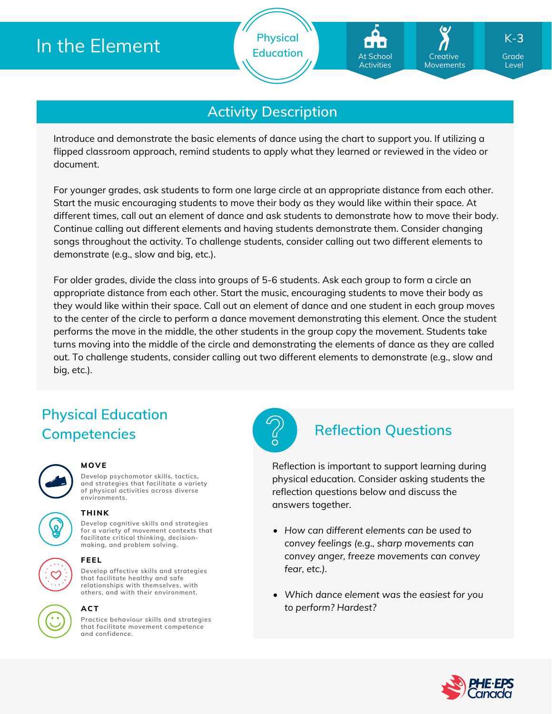

**Activity Description**

Introduce and demonstrate the basic elements of dance using the chart to support you. If utilizing a flipped classroom approach, remind students to apply what they learned or reviewed in the video or document.

For younger grades, ask students to form one large circle at an appropriate distance from each other. Start the music encouraging students to move their body as they would like within their space. At different times, call out an element of dance and ask students to demonstrate how to move their body. Continue calling out different elements and having students demonstrate them. Consider changing songs throughout the activity. To challenge students, consider calling out two different elements to demonstrate (e.g., slow and big, etc.).

For older grades, divide the class into groups of 5-6 students. Ask each group to form a circle an appropriate distance from each other. Start the music, encouraging students to move their body as they would like within their space. Call out an element of dance and one student in each group moves to the center of the circle to perform a dance movement demonstrating this element. Once the student performs the move in the middle, the other students in the group copy the movement. Students take turns moving into the middle of the circle and demonstrating the elements of dance as they are called out. To challenge students, consider calling out two different elements to demonstrate (e.g., slow and big, etc.).

## **Physical Education Competencies Reflection Questions**



### **MOVE**

**Develop psychomotor skills, tactics, and strategies that facilitate a variety of physical activities across diverse environments.**



### **THINK**

**Develop cognitive skills and strategies for a variety of movement contexts that facilitate critical thinking, decision making, and problem solving.**



### **FEEL**

**Develop affective skills and strategies that facilitate healthy and safe relationships with themselves, with others, and with their environment.**



### **ACT**

**Practice behaviour skills and strategies that facilitate movement competence and confidence.**



Reflection is important to support learning during physical education. Consider asking students the reflection questions below and discuss the answers together.

- *How can different elements can be used to convey feelings (e.g., sharp movements can convey anger, freeze movements can convey fear, etc.).*
- *Which dance element was the easiest for you to perform? Hardest?*



Level

K-**3**